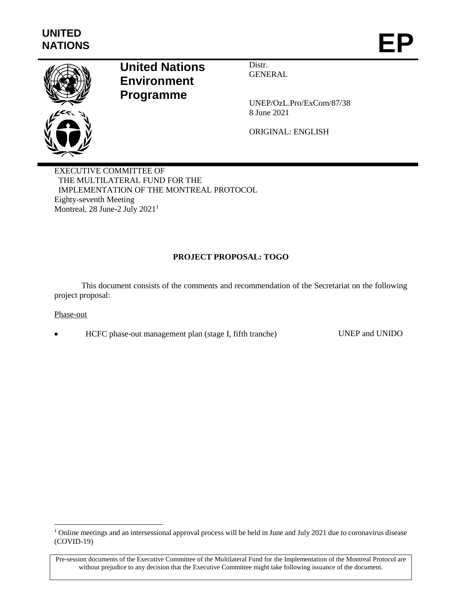

# **United Nations Environment Programme**

Distr. **GENERAL** 

UNEP/OzL.Pro/ExCom/87/38 8 June 2021

ORIGINAL: ENGLISH

EXECUTIVE COMMITTEE OF THE MULTILATERAL FUND FOR THE IMPLEMENTATION OF THE MONTREAL PROTOCOL Eighty-seventh Meeting Montreal, 28 June-2 July 2021<sup>1</sup>

## **PROJECT PROPOSAL: TOGO**

This document consists of the comments and recommendation of the Secretariat on the following project proposal:

#### Phase-out

l

HCFC phase-out management plan (stage I, fifth tranche) UNEP and UNIDO

<sup>&</sup>lt;sup>1</sup> Online meetings and an intersessional approval process will be held in June and July 2021 due to coronavirus disease (COVID-19)

Pre-session documents of the Executive Committee of the Multilateral Fund for the Implementation of the Montreal Protocol are without prejudice to any decision that the Executive Committee might take following issuance of the document.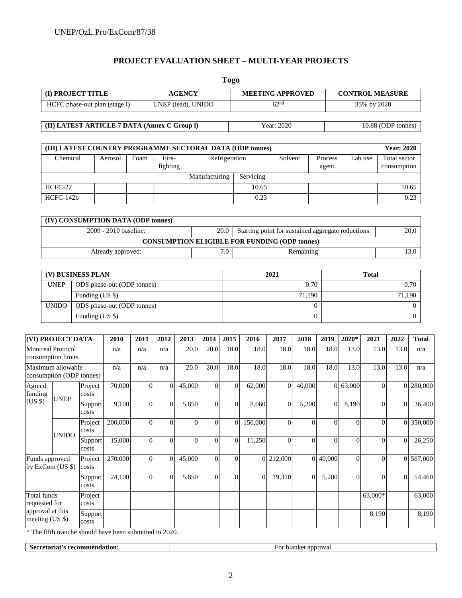## **PROJECT EVALUATION SHEET – MULTI-YEAR PROJECTS**

| <b>Togo</b>                                  |                    |                         |                        |  |  |  |  |  |
|----------------------------------------------|--------------------|-------------------------|------------------------|--|--|--|--|--|
| (I) PROJECT TITLE                            | <b>AGENCY</b>      | <b>MEETING APPROVED</b> | <b>CONTROL MEASURE</b> |  |  |  |  |  |
| HCFC phase-out plan (stage I)                | UNEP (lead), UNIDO | 62 <sup>nd</sup>        | 35% by 2020            |  |  |  |  |  |
|                                              |                    |                         |                        |  |  |  |  |  |
| (II) LATEST ARTICLE 7 DATA (Annex C Group I) |                    | Year: 2020              | 10.88 (ODP tonnes)     |  |  |  |  |  |

| (III) LATEST COUNTRY PROGRAMME SECTORAL DATA (ODP tonnes) |         |      |          |               |         |         |         | <b>Year: 2020</b> |
|-----------------------------------------------------------|---------|------|----------|---------------|---------|---------|---------|-------------------|
| <b>Chemical</b>                                           | Aerosol | ∀oam | Fire-    | Refrigeration | Solvent | Process | .ab use | Total sector      |
|                                                           |         |      | fighting |               |         | agent   |         | consumption       |

|           |  | fighting |               |           | agent | consumption |
|-----------|--|----------|---------------|-----------|-------|-------------|
|           |  |          | Manufacturing | Servicing |       |             |
| HCFC-22   |  |          |               | 10.65     |       | 10.65       |
| HCFC-142b |  |          |               | 0.23      |       | 0.23        |
|           |  |          |               |           |       |             |

| (IV) CONSUMPTION DATA (ODP tonnes)                                                  |     |            |  |  |  |  |  |
|-------------------------------------------------------------------------------------|-----|------------|--|--|--|--|--|
| 20.0<br>Starting point for sustained aggregate reductions:<br>2009 - 2010 baseline: |     |            |  |  |  |  |  |
| <b>CONSUMPTION ELIGIBLE FOR FUNDING (ODP tonnes)</b>                                |     |            |  |  |  |  |  |
| Already approved:                                                                   | 7.0 | Remaining: |  |  |  |  |  |

|              | (V) BUSINESS PLAN          | 2021   | <b>Total</b> |  |  |
|--------------|----------------------------|--------|--------------|--|--|
| <b>UNEP</b>  | ODS phase-out (ODP tonnes) | 0.70   | 0.70         |  |  |
|              | Funding (US \$)            | 71.190 | 71.190       |  |  |
| <b>UNIDO</b> | ODS phase-out (ODP tonnes) |        |              |  |  |
|              | Funding (US \$)            |        |              |  |  |

|                                                                            | <b>(VI) PROJECT DATA</b> |                  | 2010    | 2011     | 2012     | 2013     | 2014           | 2015           | 2016         | 2017      | 2018         | 2019     | 2020*    | 2021     | 2022     | <b>Total</b> |
|----------------------------------------------------------------------------|--------------------------|------------------|---------|----------|----------|----------|----------------|----------------|--------------|-----------|--------------|----------|----------|----------|----------|--------------|
| <b>Montreal Protocol</b><br>consumption limits                             |                          | n/a              | n/a     | n/a      | 20.0     | 20.0     | 18.0           | 18.0           | 18.0         | 18.0      | 18.0         | 13.0     | 13.0     | 13.0     | n/a      |              |
| Maximum allowable<br>consumption (ODP tonnes)                              |                          |                  | n/a     | n/a      | n/a      | 20.0     | 20.0           | 18.0           | 18.0         | 18.0      | 18.0         | 18.0     | 13.0     | 13.0     | 13.0     | n/a          |
| Agreed<br>funding                                                          | <b>UNEP</b>              | Project<br>costs | 70,000  | $\Omega$ | $\Omega$ | 45,000   | $\theta$       | $\theta$       | 62,000       | $\Omega$  | 40,000       |          | 0 63,000 | $\Omega$ | $\Omega$ | 280,000      |
| $(US \$                                                                    |                          | Support<br>costs | 9,100   | $\theta$ | 0        | 5,850    | $\theta$       | $\theta$       | 8,060        | $\theta$  | 5,200        | $\Omega$ | 8,190    | $\Omega$ | $\Omega$ | 36,400       |
|                                                                            | <b>UNIDO</b>             | Project<br>costs | 200,000 | $\theta$ | $\Omega$ | $\Omega$ | $\Omega$       | $\Omega$       | 150,000      | $\theta$  | $\Omega$     | $\theta$ | $\Omega$ | $\Omega$ | $\Omega$ | 350,000      |
|                                                                            |                          | Support<br>costs | 15,000  | $\theta$ | $\theta$ | $\Omega$ | $\Omega$       | $\theta$       | 11,250       | $\theta$  | $\Omega$     | $\Omega$ | $\Omega$ | $\Omega$ | $\theta$ | 26,250       |
| Funds approved<br>by ExCom $(US \$ )                                       |                          | Project<br>costs | 270,000 | $\Omega$ | $\theta$ | 45,000   | $\theta$       | $\theta$       |              | 0 212,000 |              | 0 40,000 | $\Omega$ | $\Omega$ | $\Omega$ | 567,000      |
|                                                                            |                          | Support<br>costs | 24,100  | $\Omega$ | $\theta$ | 5,850    | $\overline{0}$ | $\overline{0}$ | $\mathbf{0}$ | 19,310    | $\mathbf{0}$ | 5,200    | $\Omega$ | $\Omega$ | $\Omega$ | 54,460       |
| <b>Total funds</b><br>requested for<br>approval at this<br>meeting $(US \$ |                          | Project<br>costs |         |          |          |          |                |                |              |           |              |          |          | 63,000*  |          | 63,000       |
|                                                                            | Support<br>costs         |                  |         |          |          |          |                |                |              |           |              |          | 8,190    |          | 8,190    |              |

\* The fifth tranche should have been submitted in 2020.

**Secretariat's recommendation:** For blanket approval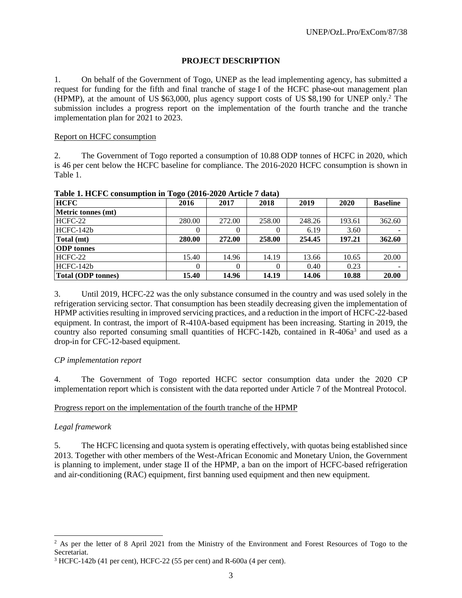## **PROJECT DESCRIPTION**

1. On behalf of the Government of Togo, UNEP as the lead implementing agency, has submitted a request for funding for the fifth and final tranche of stage I of the HCFC phase-out management plan (HPMP), at the amount of US \$63,000, plus agency support costs of US \$8,190 for UNEP only.<sup>2</sup> The submission includes a progress report on the implementation of the fourth tranche and the tranche implementation plan for 2021 to 2023.

#### Report on HCFC consumption

2. The Government of Togo reported a consumption of 10.88 ODP tonnes of HCFC in 2020, which is 46 per cent below the HCFC baseline for compliance. The 2016-2020 HCFC consumption is shown in Table 1.

| <b>HCFC</b>               | 2016     | 2017   | 2018   | 2019   | 2020   | <b>Baseline</b> |
|---------------------------|----------|--------|--------|--------|--------|-----------------|
| Metric tonnes (mt)        |          |        |        |        |        |                 |
| HCFC-22                   | 280.00   | 272.00 | 258.00 | 248.26 | 193.61 | 362.60          |
| $HCFC-142b$               | 0        |        |        | 6.19   | 3.60   |                 |
| Total (mt)                | 280.00   | 272.00 | 258.00 | 254.45 | 197.21 | 362.60          |
| <b>ODP</b> tonnes         |          |        |        |        |        |                 |
| HCFC-22                   | 15.40    | 14.96  | 14.19  | 13.66  | 10.65  | 20.00           |
| HCFC-142b                 | $\Omega$ |        |        | 0.40   | 0.23   |                 |
| <b>Total (ODP tonnes)</b> | 15.40    | 14.96  | 14.19  | 14.06  | 10.88  | 20.00           |

**Table 1. HCFC consumption in Togo (2016-2020 Article 7 data)**

3. Until 2019, HCFC-22 was the only substance consumed in the country and was used solely in the refrigeration servicing sector. That consumption has been steadily decreasing given the implementation of HPMP activities resulting in improved servicing practices, and a reduction in the import of HCFC-22-based equipment. In contrast, the import of R-410A-based equipment has been increasing. Starting in 2019, the country also reported consuming small quantities of HCFC-142b, contained in  $R-406a^3$  and used as a drop-in for CFC-12-based equipment.

#### *CP implementation report*

4. The Government of Togo reported HCFC sector consumption data under the 2020 CP implementation report which is consistent with the data reported under Article 7 of the Montreal Protocol.

#### Progress report on the implementation of the fourth tranche of the HPMP

#### *Legal framework*

l

5. The HCFC licensing and quota system is operating effectively, with quotas being established since 2013. Together with other members of the West-African Economic and Monetary Union, the Government is planning to implement, under stage II of the HPMP, a ban on the import of HCFC-based refrigeration and air-conditioning (RAC) equipment, first banning used equipment and then new equipment.

<sup>&</sup>lt;sup>2</sup> As per the letter of 8 April 2021 from the Ministry of the Environment and Forest Resources of Togo to the Secretariat.

<sup>3</sup> HCFC-142b (41 per cent), HCFC-22 (55 per cent) and R-600a (4 per cent).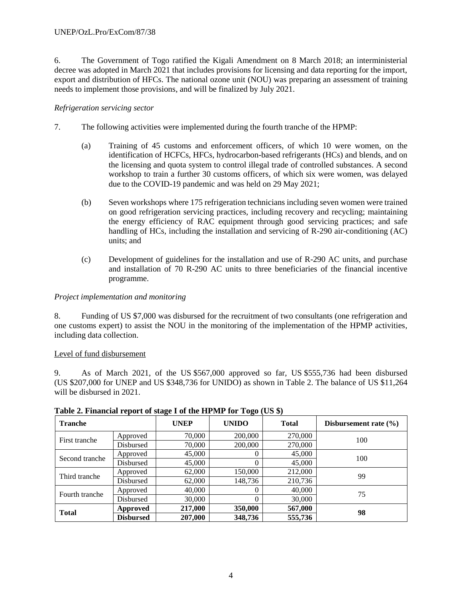6. The Government of Togo ratified the Kigali Amendment on 8 March 2018; an interministerial decree was adopted in March 2021 that includes provisions for licensing and data reporting for the import, export and distribution of HFCs. The national ozone unit (NOU) was preparing an assessment of training needs to implement those provisions, and will be finalized by July 2021.

## *Refrigeration servicing sector*

- 7. The following activities were implemented during the fourth tranche of the HPMP:
	- (a) Training of 45 customs and enforcement officers, of which 10 were women, on the identification of HCFCs, HFCs, hydrocarbon-based refrigerants (HCs) and blends, and on the licensing and quota system to control illegal trade of controlled substances. A second workshop to train a further 30 customs officers, of which six were women, was delayed due to the COVID-19 pandemic and was held on 29 May 2021;
	- (b) Seven workshops where 175 refrigeration technicians including seven women were trained on good refrigeration servicing practices, including recovery and recycling; maintaining the energy efficiency of RAC equipment through good servicing practices; and safe handling of HCs, including the installation and servicing of R-290 air-conditioning (AC) units; and
	- (c) Development of guidelines for the installation and use of R-290 AC units, and purchase and installation of 70 R-290 AC units to three beneficiaries of the financial incentive programme.

## *Project implementation and monitoring*

8. Funding of US \$7,000 was disbursed for the recruitment of two consultants (one refrigeration and one customs expert) to assist the NOU in the monitoring of the implementation of the HPMP activities, including data collection.

## Level of fund disbursement

9. As of March 2021, of the US \$567,000 approved so far, US \$555,736 had been disbursed (US \$207,000 for UNEP and US \$348,736 for UNIDO) as shown in Table 2. The balance of US \$11,264 will be disbursed in 2021.

| <b>Tranche</b> |                  | <b>UNEP</b> | <b>UNIDO</b> | <b>Total</b> | Disbursement rate $(\% )$ |
|----------------|------------------|-------------|--------------|--------------|---------------------------|
| First tranche  | Approved         | 70,000      | 200,000      | 270,000      | 100                       |
|                | Disbursed        | 70,000      | 200,000      | 270,000      |                           |
|                | Approved         | 45,000      |              | 45,000       | 100                       |
| Second tranche | Disbursed        | 45,000      |              | 45,000       |                           |
| Third tranche  | Approved         | 62,000      | 150,000      | 212,000      | 99                        |
|                | Disbursed        | 62,000      | 148,736      | 210,736      |                           |
| Fourth tranche | Approved         | 40,000      |              | 40,000       | 75                        |
|                | Disbursed        | 30,000      |              | 30,000       |                           |
| <b>Total</b>   | Approved         | 217,000     | 350,000      | 567,000      | 98                        |
|                | <b>Disbursed</b> | 207,000     | 348,736      | 555,736      |                           |

## **Table 2. Financial report of stage I of the HPMP for Togo (US \$)**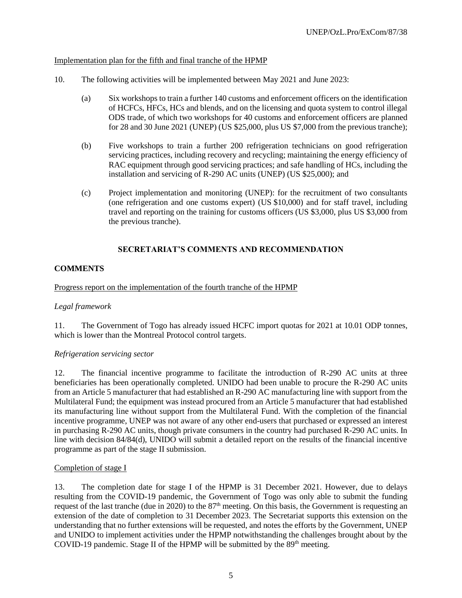### Implementation plan for the fifth and final tranche of the HPMP

- 10. The following activities will be implemented between May 2021 and June 2023:
	- (a) Six workshops to train a further 140 customs and enforcement officers on the identification of HCFCs, HFCs, HCs and blends, and on the licensing and quota system to control illegal ODS trade, of which two workshops for 40 customs and enforcement officers are planned for 28 and 30 June 2021 (UNEP) (US \$25,000, plus US \$7,000 from the previous tranche);
	- (b) Five workshops to train a further 200 refrigeration technicians on good refrigeration servicing practices, including recovery and recycling; maintaining the energy efficiency of RAC equipment through good servicing practices; and safe handling of HCs, including the installation and servicing of R-290 AC units (UNEP) (US \$25,000); and
	- (c) Project implementation and monitoring (UNEP): for the recruitment of two consultants (one refrigeration and one customs expert) (US \$10,000) and for staff travel, including travel and reporting on the training for customs officers (US \$3,000, plus US \$3,000 from the previous tranche).

## **SECRETARIAT'S COMMENTS AND RECOMMENDATION**

## **COMMENTS**

#### Progress report on the implementation of the fourth tranche of the HPMP

#### *Legal framework*

11. The Government of Togo has already issued HCFC import quotas for 2021 at 10.01 ODP tonnes, which is lower than the Montreal Protocol control targets.

#### *Refrigeration servicing sector*

12. The financial incentive programme to facilitate the introduction of R-290 AC units at three beneficiaries has been operationally completed. UNIDO had been unable to procure the R-290 AC units from an Article 5 manufacturer that had established an R-290 AC manufacturing line with support from the Multilateral Fund; the equipment was instead procured from an Article 5 manufacturer that had established its manufacturing line without support from the Multilateral Fund. With the completion of the financial incentive programme, UNEP was not aware of any other end-users that purchased or expressed an interest in purchasing R-290 AC units, though private consumers in the country had purchased R-290 AC units. In line with decision 84/84(d), UNIDO will submit a detailed report on the results of the financial incentive programme as part of the stage II submission.

#### Completion of stage I

13. The completion date for stage I of the HPMP is 31 December 2021. However, due to delays resulting from the COVID-19 pandemic, the Government of Togo was only able to submit the funding request of the last tranche (due in 2020) to the 87<sup>th</sup> meeting. On this basis, the Government is requesting an extension of the date of completion to 31 December 2023. The Secretariat supports this extension on the understanding that no further extensions will be requested, and notes the efforts by the Government, UNEP and UNIDO to implement activities under the HPMP notwithstanding the challenges brought about by the COVID-19 pandemic. Stage II of the HPMP will be submitted by the  $89<sup>th</sup>$  meeting.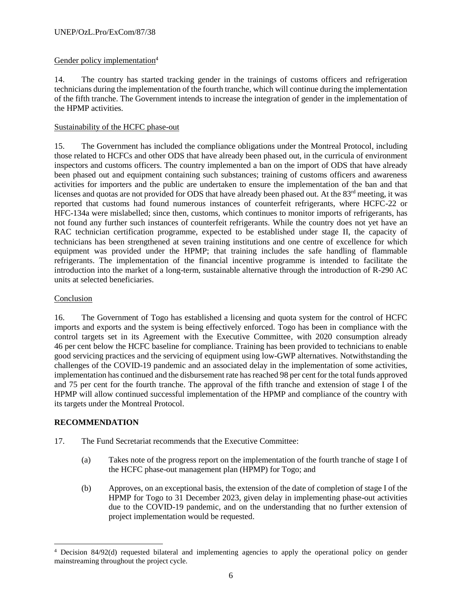## Gender policy implementation<sup>4</sup>

14. The country has started tracking gender in the trainings of customs officers and refrigeration technicians during the implementation of the fourth tranche, which will continue during the implementation of the fifth tranche. The Government intends to increase the integration of gender in the implementation of the HPMP activities.

### Sustainability of the HCFC phase-out

15. The Government has included the compliance obligations under the Montreal Protocol, including those related to HCFCs and other ODS that have already been phased out, in the curricula of environment inspectors and customs officers. The country implemented a ban on the import of ODS that have already been phased out and equipment containing such substances; training of customs officers and awareness activities for importers and the public are undertaken to ensure the implementation of the ban and that licenses and quotas are not provided for ODS that have already been phased out. At the  $83<sup>rd</sup>$  meeting, it was reported that customs had found numerous instances of counterfeit refrigerants, where HCFC-22 or HFC-134a were mislabelled; since then, customs, which continues to monitor imports of refrigerants, has not found any further such instances of counterfeit refrigerants. While the country does not yet have an RAC technician certification programme, expected to be established under stage II, the capacity of technicians has been strengthened at seven training institutions and one centre of excellence for which equipment was provided under the HPMP; that training includes the safe handling of flammable refrigerants. The implementation of the financial incentive programme is intended to facilitate the introduction into the market of a long-term, sustainable alternative through the introduction of R-290 AC units at selected beneficiaries.

### Conclusion

16. The Government of Togo has established a licensing and quota system for the control of HCFC imports and exports and the system is being effectively enforced. Togo has been in compliance with the control targets set in its Agreement with the Executive Committee, with 2020 consumption already 46 per cent below the HCFC baseline for compliance. Training has been provided to technicians to enable good servicing practices and the servicing of equipment using low-GWP alternatives. Notwithstanding the challenges of the COVID-19 pandemic and an associated delay in the implementation of some activities, implementation has continued and the disbursement rate has reached 98 per cent for the total funds approved and 75 per cent for the fourth tranche. The approval of the fifth tranche and extension of stage I of the HPMP will allow continued successful implementation of the HPMP and compliance of the country with its targets under the Montreal Protocol.

## **RECOMMENDATION**

 $\overline{a}$ 

- 17. The Fund Secretariat recommends that the Executive Committee:
	- (a) Takes note of the progress report on the implementation of the fourth tranche of stage I of the HCFC phase-out management plan (HPMP) for Togo; and
	- (b) Approves, on an exceptional basis, the extension of the date of completion of stage I of the HPMP for Togo to 31 December 2023, given delay in implementing phase-out activities due to the COVID-19 pandemic, and on the understanding that no further extension of project implementation would be requested.

<sup>&</sup>lt;sup>4</sup> Decision 84/92(d) requested bilateral and implementing agencies to apply the operational policy on gender mainstreaming throughout the project cycle.